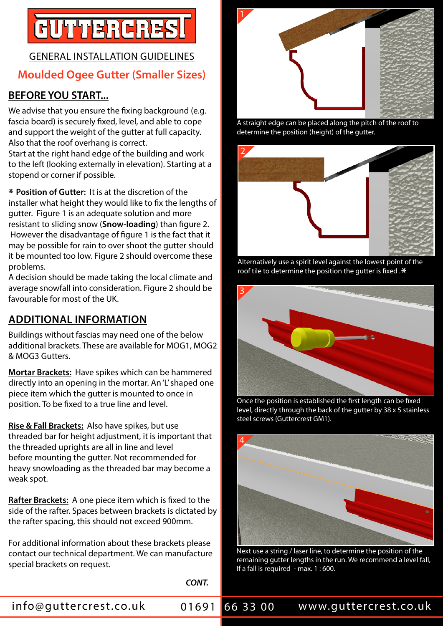# GUTTERCRES

# GENERAL INSTALLATION GUIDELINES **Moulded Ogee Gutter (Smaller Sizes)**

## **BEFORE YOU START...**

We advise that you ensure the fixing background (e.g. fascia board) is securely fixed, level, and able to cope and support the weight of the gutter at full capacity. Also that the roof overhang is correct.

Start at the right hand edge of the building and work to the left (looking externally in elevation). Starting at a stopend or corner if possible.

**\* Position of Gutter:** It is at the discretion of the installer what height they would like to fix the lengths of gutter. Figure 1 is an adequate solution and more resistant to sliding snow (**Snow-loading**) than figure 2. However the disadvantage of figure 1 is the fact that it may be possible for rain to over shoot the gutter should it be mounted too low. Figure 2 should overcome these problems.

A decision should be made taking the local climate and average snowfall into consideration. Figure 2 should be favourable for most of the UK.

# **ADDITIONAL INFORMATION**

Buildings without fascias may need one of the below additional brackets. These are available for MOG1, MOG2 & MOG3 Gutters.

**Mortar Brackets:** Have spikes which can be hammered directly into an opening in the mortar. An 'L' shaped one piece item which the gutter is mounted to once in position. To be fixed to a true line and level.

**Rise & Fall Brackets:** Also have spikes, but use threaded bar for height adjustment, it is important that the threaded uprights are all in line and level before mounting the gutter. Not recommended for heavy snowloading as the threaded bar may become a weak spot.

**Rafter Brackets:** A one piece item which is fixed to the side of the rafter. Spaces between brackets is dictated by the rafter spacing, this should not exceed 900mm.

For additional information about these brackets please contact our technical department. We can manufacture special brackets on request.

*CONT.*



A straight edge can be placed along the pitch of the roof to determine the position (height) of the gutter.



Alternatively use a spirit level against the lowest point of the roof tile to determine the position the gutter is fixed .**\***



Once the position is established the first length can be fixed level, directly through the back of the gutter by 38 x 5 stainless steel screws (Guttercrest GM1).



Next use a string / laser line, to determine the position of the remaining gutter lengths in the run. We recommend a level fall, If a fall is required - max. 1 : 600.